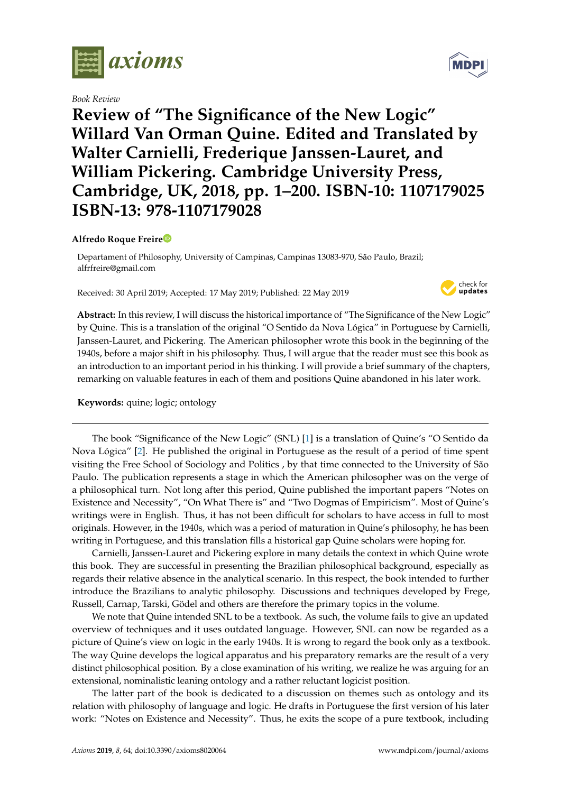

*Book Review*

**Review of "The Significance of the New Logic" Willard Van Orman Quine. Edited and Translated by Walter Carnielli, Frederique Janssen-Lauret, and William Pickering. Cambridge University Press, Cambridge, UK, 2018, pp. 1–200. ISBN-10: 1107179025 ISBN-13: 978-1107179028**

## **Alfredo Roque Freir[e](https://orcid.org/0000-0003-0132-355X)**

Departament of Philosophy, University of Campinas, Campinas 13083-970, São Paulo, Brazil; alfrfreire@gmail.com

Received: 30 April 2019; Accepted: 17 May 2019; Published: 22 May 2019



**Abstract:** In this review, I will discuss the historical importance of "The Significance of the New Logic" by Quine. This is a translation of the original "O Sentido da Nova Lógica" in Portuguese by Carnielli, Janssen-Lauret, and Pickering. The American philosopher wrote this book in the beginning of the 1940s, before a major shift in his philosophy. Thus, I will argue that the reader must see this book as an introduction to an important period in his thinking. I will provide a brief summary of the chapters, remarking on valuable features in each of them and positions Quine abandoned in his later work.

**Keywords:** quine; logic; ontology

The book "Significance of the New Logic" (SNL) [\[1\]](#page-2-0) is a translation of Quine's "O Sentido da Nova Lógica" [\[2\]](#page-2-1). He published the original in Portuguese as the result of a period of time spent visiting the Free School of Sociology and Politics , by that time connected to the University of São Paulo. The publication represents a stage in which the American philosopher was on the verge of a philosophical turn. Not long after this period, Quine published the important papers "Notes on Existence and Necessity", "On What There is" and "Two Dogmas of Empiricism". Most of Quine's writings were in English. Thus, it has not been difficult for scholars to have access in full to most originals. However, in the 1940s, which was a period of maturation in Quine's philosophy, he has been writing in Portuguese, and this translation fills a historical gap Quine scholars were hoping for.

Carnielli, Janssen-Lauret and Pickering explore in many details the context in which Quine wrote this book. They are successful in presenting the Brazilian philosophical background, especially as regards their relative absence in the analytical scenario. In this respect, the book intended to further introduce the Brazilians to analytic philosophy. Discussions and techniques developed by Frege, Russell, Carnap, Tarski, Gödel and others are therefore the primary topics in the volume.

We note that Quine intended SNL to be a textbook. As such, the volume fails to give an updated overview of techniques and it uses outdated language. However, SNL can now be regarded as a picture of Quine's view on logic in the early 1940s. It is wrong to regard the book only as a textbook. The way Quine develops the logical apparatus and his preparatory remarks are the result of a very distinct philosophical position. By a close examination of his writing, we realize he was arguing for an extensional, nominalistic leaning ontology and a rather reluctant logicist position.

The latter part of the book is dedicated to a discussion on themes such as ontology and its relation with philosophy of language and logic. He drafts in Portuguese the first version of his later work: "Notes on Existence and Necessity". Thus, he exits the scope of a pure textbook, including

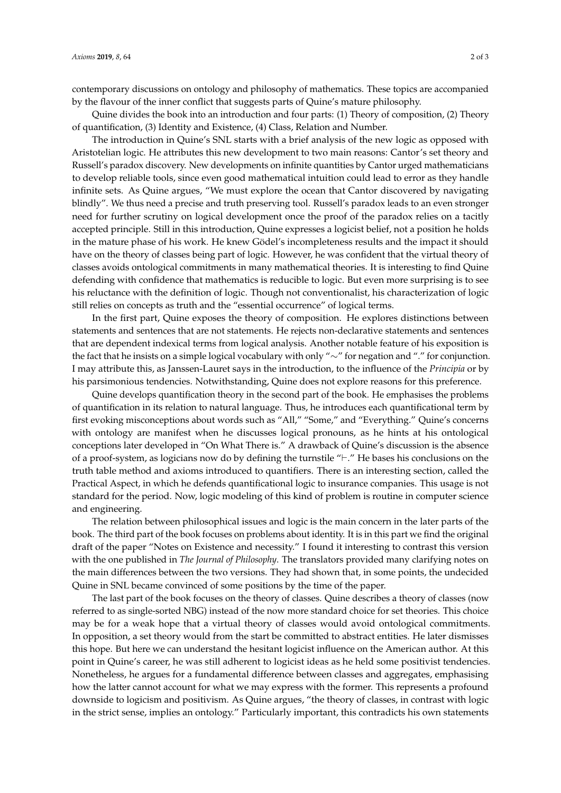contemporary discussions on ontology and philosophy of mathematics. These topics are accompanied by the flavour of the inner conflict that suggests parts of Quine's mature philosophy.

Quine divides the book into an introduction and four parts: (1) Theory of composition, (2) Theory of quantification, (3) Identity and Existence, (4) Class, Relation and Number.

The introduction in Quine's SNL starts with a brief analysis of the new logic as opposed with Aristotelian logic. He attributes this new development to two main reasons: Cantor's set theory and Russell's paradox discovery. New developments on infinite quantities by Cantor urged mathematicians to develop reliable tools, since even good mathematical intuition could lead to error as they handle infinite sets. As Quine argues, "We must explore the ocean that Cantor discovered by navigating blindly". We thus need a precise and truth preserving tool. Russell's paradox leads to an even stronger need for further scrutiny on logical development once the proof of the paradox relies on a tacitly accepted principle. Still in this introduction, Quine expresses a logicist belief, not a position he holds in the mature phase of his work. He knew Gödel's incompleteness results and the impact it should have on the theory of classes being part of logic. However, he was confident that the virtual theory of classes avoids ontological commitments in many mathematical theories. It is interesting to find Quine defending with confidence that mathematics is reducible to logic. But even more surprising is to see his reluctance with the definition of logic. Though not conventionalist, his characterization of logic still relies on concepts as truth and the "essential occurrence" of logical terms.

In the first part, Quine exposes the theory of composition. He explores distinctions between statements and sentences that are not statements. He rejects non-declarative statements and sentences that are dependent indexical terms from logical analysis. Another notable feature of his exposition is the fact that he insists on a simple logical vocabulary with only "∼" for negation and "." for conjunction. I may attribute this, as Janssen-Lauret says in the introduction, to the influence of the *Principia* or by his parsimonious tendencies. Notwithstanding, Quine does not explore reasons for this preference.

Quine develops quantification theory in the second part of the book. He emphasises the problems of quantification in its relation to natural language. Thus, he introduces each quantificational term by first evoking misconceptions about words such as "All," "Some," and "Everything." Quine's concerns with ontology are manifest when he discusses logical pronouns, as he hints at his ontological conceptions later developed in "On What There is." A drawback of Quine's discussion is the absence of a proof-system, as logicians now do by defining the turnstile " $\vdash$ ." He bases his conclusions on the truth table method and axioms introduced to quantifiers. There is an interesting section, called the Practical Aspect, in which he defends quantificational logic to insurance companies. This usage is not standard for the period. Now, logic modeling of this kind of problem is routine in computer science and engineering.

The relation between philosophical issues and logic is the main concern in the later parts of the book. The third part of the book focuses on problems about identity. It is in this part we find the original draft of the paper "Notes on Existence and necessity." I found it interesting to contrast this version with the one published in *The Journal of Philosophy*. The translators provided many clarifying notes on the main differences between the two versions. They had shown that, in some points, the undecided Quine in SNL became convinced of some positions by the time of the paper.

The last part of the book focuses on the theory of classes. Quine describes a theory of classes (now referred to as single-sorted NBG) instead of the now more standard choice for set theories. This choice may be for a weak hope that a virtual theory of classes would avoid ontological commitments. In opposition, a set theory would from the start be committed to abstract entities. He later dismisses this hope. But here we can understand the hesitant logicist influence on the American author. At this point in Quine's career, he was still adherent to logicist ideas as he held some positivist tendencies. Nonetheless, he argues for a fundamental difference between classes and aggregates, emphasising how the latter cannot account for what we may express with the former. This represents a profound downside to logicism and positivism. As Quine argues, "the theory of classes, in contrast with logic in the strict sense, implies an ontology." Particularly important, this contradicts his own statements